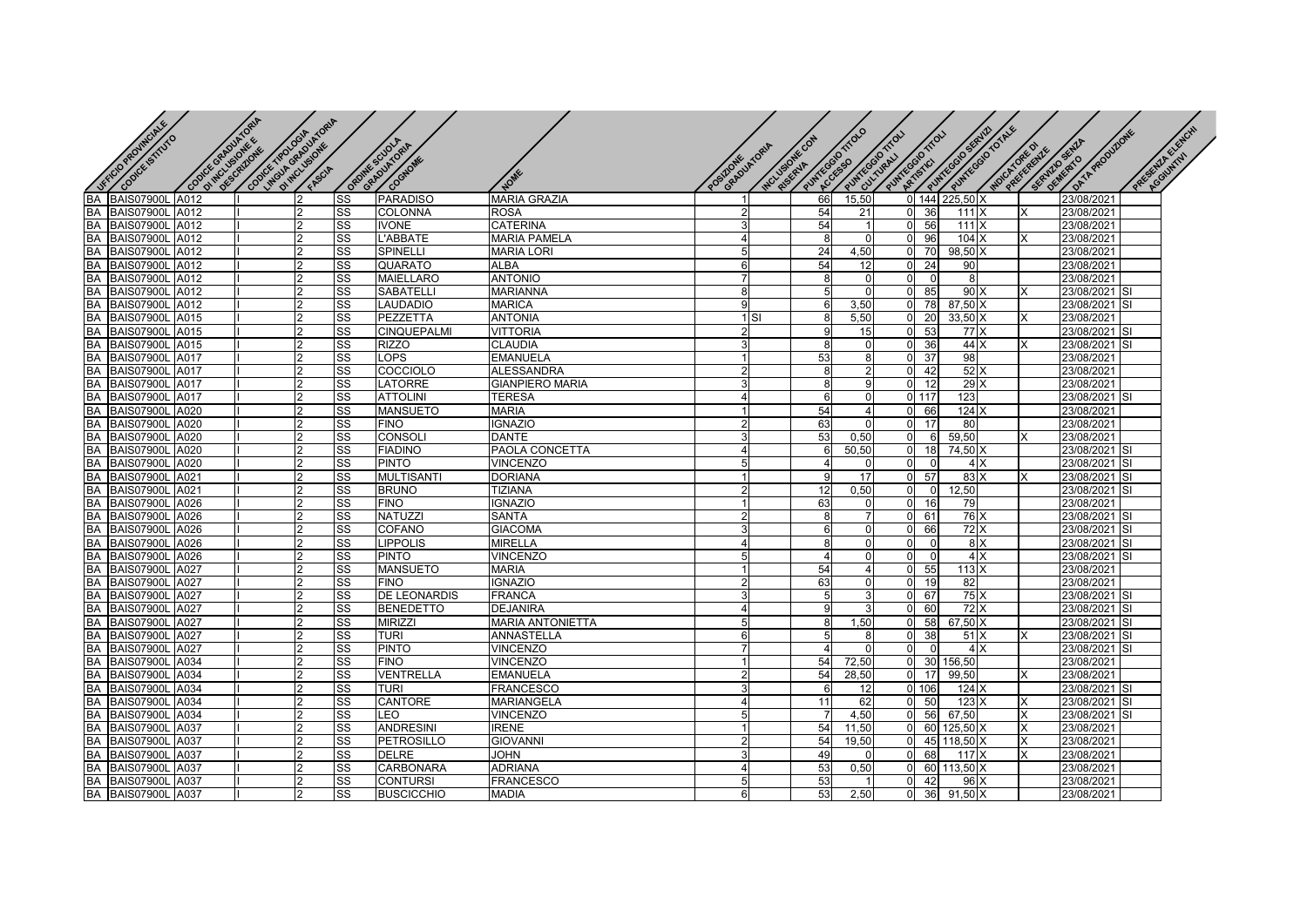| <b>SEE OF POINT ONLY &amp;</b>                                                                                                                | Cooler Grawwood | cool way was discussed |                |    |                      |                         |   |             |                  |                        |                                   |                                      |                |          |                |                        |
|-----------------------------------------------------------------------------------------------------------------------------------------------|-----------------|------------------------|----------------|----|----------------------|-------------------------|---|-------------|------------------|------------------------|-----------------------------------|--------------------------------------|----------------|----------|----------------|------------------------|
| Conce Simuro                                                                                                                                  |                 | O Inclusion R &        |                |    | osolitike Sciol-Azia |                         |   |             | MOUSIONE CON     | PIWRECESSO<br>FITTEFFE | PUMPROBATION                      | Paintegal totale<br>SUNTEGRO SERVICE |                |          | DATA PRODUZONE | PACE SCIENCE OF CHICAL |
|                                                                                                                                               |                 |                        |                |    |                      |                         |   | GRADUATORIA |                  |                        |                                   |                                      | MOCADES REQUIE |          | SE DEVELOPENTO |                        |
|                                                                                                                                               |                 |                        |                |    |                      |                         |   |             |                  |                        |                                   |                                      |                |          |                |                        |
|                                                                                                                                               |                 |                        |                |    | COGNOME              | NOME                    |   |             |                  |                        |                                   |                                      |                |          |                |                        |
| BA BAIS07900L<br>BA BAIS07900L<br>BA BAIS07900L<br>BA BAIS07900L<br>BA BAIS07900L                                                             | A012            |                        |                |    | PARADISO             | MARIA GRAZIA            |   |             | 66               | 15,50                  |                                   | 0 144 225,50 X                       |                |          | 23/08/2021     |                        |
|                                                                                                                                               | A012            |                        |                | SS | COLONNA              | ROSA                    |   |             | 54               | 21                     | 36<br>$\Omega$                    | 111X                                 |                | X        | 23/08/2021     |                        |
|                                                                                                                                               | A012            |                        | $\mathfrak{p}$ | SS | <b>IVONE</b>         | <b>CATERINA</b>         |   |             | 54               |                        | 56<br>$\Omega$                    | 111X                                 |                |          | 23/08/2021     |                        |
|                                                                                                                                               | A012            |                        | 2              | SS | L'ABBATE             | <b>MARIA PAMELA</b>     |   |             | 8                | $\Omega$               | 96<br>$\Omega$                    | 104 X                                |                | X        | 23/08/2021     |                        |
|                                                                                                                                               | A012            |                        | 2              | SS | SPINELLI             | <b>MARIA LORI</b>       |   |             | 24               | 4,50                   | 70<br>$\Omega$                    | $98,50$ X                            |                |          | 23/08/2021     |                        |
|                                                                                                                                               |                 |                        |                | SS | QUARATO              | ALBA                    |   |             | 54               | 12                     | 24<br>$\Omega$                    | 90                                   |                |          | 23/08/2021     |                        |
| BA BAIS07900L A012<br>BA BAIS07900L A012<br>BA BAIS07900L A012                                                                                |                 |                        | $\mathfrak{p}$ | SS | <b>MAIELLARO</b>     | <b>ANTONIO</b>          |   |             | 8                | $\Omega$               | $\Omega$<br>$\Omega$              | 8                                    |                |          | 23/08/2021     |                        |
|                                                                                                                                               |                 |                        | $\overline{2}$ | SS | SABATELLI            | <b>MARIANNA</b>         | 8 |             | 5                | $\Omega$               | 85<br>$\Omega$                    | 90 X                                 |                | X        | 23/08/2021 SI  |                        |
| <b>BA BAIS07900L A012</b><br><b>BA BAIS07900L A015</b><br><b>BA BAIS07900L A015</b><br><b>BA BAIS07900L A015</b><br><b>BA BAIS07900L A017</b> |                 |                        |                | SS | LAUDADIO             | <b>MARICA</b>           |   |             | 6                | 3,50                   | 78<br>ŋ                           | 87,50 X                              |                |          | 23/08/2021 SI  |                        |
|                                                                                                                                               |                 |                        | $\mathfrak{p}$ | SS | PEZZETTA             | <b>ANTONIA</b>          |   | $1$ SI      |                  | 5,50                   | 20                                | 33,50 X                              |                | X        | 23/08/2021     |                        |
|                                                                                                                                               |                 |                        | $\mathfrak{p}$ | SS | CINQUEPALMI          | <b>VITTORIA</b>         |   |             | q                | 15                     | 53<br>$\Omega$                    | 77 X                                 |                |          | 23/08/2021 SI  |                        |
|                                                                                                                                               |                 |                        | 2              | SS | <b>RIZZO</b>         | <b>CLAUDIA</b>          |   |             | 8                | 0                      | 36<br>$\Omega$                    | 44 X                                 |                | х        | 23/08/2021     | <b>SI</b>              |
|                                                                                                                                               |                 |                        | っ              | SS | LOPS                 | <b>EMANUELA</b>         |   |             | 53               | 8                      | $\overline{37}$<br>U              | 98                                   |                |          | 23/08/2021     |                        |
| <b>BA BAIS07900L A017</b><br><b>BA BAIS07900L A017</b>                                                                                        |                 |                        | 2              | SS | COCCIOLO             | ALESSANDRA              |   |             | 8                | $\overline{2}$         | 42<br>$\Omega$                    | 52X                                  |                |          | 23/08/2021     |                        |
|                                                                                                                                               |                 |                        | $\mathfrak{p}$ | SS | LATORRE              | <b>GIANPIERO MARIA</b>  |   |             | 8                | 9                      | 12<br>$\Omega$                    | 29X                                  |                |          | 23/08/2021     |                        |
|                                                                                                                                               | A017            |                        |                | SS | <b>ATTOLINI</b>      | <b>TERESA</b>           |   |             | 6                | $\Omega$               | $0$ 117                           | 123                                  |                |          | 23/08/2021 SI  |                        |
| BA BAIS07900L<br>BA BAIS07900L                                                                                                                | A020            |                        | 2              | SS | MANSUETO             | <b>MARIA</b>            |   |             | 54               |                        | 66                                | $124 \times$                         |                |          | 23/08/2021     |                        |
|                                                                                                                                               | A020            |                        |                | SS | <b>FINO</b>          | <b>IGNAZIO</b>          |   |             | 63               | $\Omega$               | 17                                | 80                                   |                |          | 23/08/2021     |                        |
| BA BAIS07900L<br>BA BAIS07900L<br>BA BAIS07900L                                                                                               | A020            |                        | $\mathfrak{p}$ | SS | <b>CONSOL</b>        | <b>DANTE</b>            |   |             | 53               | 0.50                   | $\Omega$<br>6                     | 59,50                                |                | X        | 23/08/2021     |                        |
|                                                                                                                                               | A020            |                        | 2              | SS | <b>FIADINO</b>       | PAOLA CONCETTA          |   |             | 6                | 50,50                  | 18<br>$\Omega$                    | 74,50 X                              |                |          | 23/08/2021     | ISI                    |
| BA BAIS07900L                                                                                                                                 | A020            |                        |                | SS | <b>PINTO</b>         | VINCENZO                |   |             | $\boldsymbol{4}$ | <sup>0</sup>           | $\Omega$<br>$\Omega$              | 4 X                                  |                |          | 23/08/2021     | <b>SI</b>              |
|                                                                                                                                               |                 |                        |                | SS | <b>MULTISANTI</b>    | <b>DORIANA</b>          |   |             | 9                | 17                     | 57<br>$\Omega$                    | 83 X                                 |                | x        | 23/08/2021     | <b>SI</b>              |
|                                                                                                                                               |                 |                        | $\mathfrak{p}$ | SS | <b>BRUNO</b>         | <b>TIZIANA</b>          |   |             | 12               | 0.50                   | $\mathbf 0$<br>$\overline{0}$     | 12,50                                |                |          | 23/08/2021     | <b>SI</b>              |
| <b>BA BAIS07900L A021</b><br><b>BA BAIS07900L A021</b><br><b>BA BAIS07900L A026</b>                                                           | A026            |                        | $\mathfrak{p}$ | SS | <b>FINO</b>          | <b>IGNAZIO</b>          |   |             | 63               | 0                      | 16<br>$\Omega$                    | 79                                   |                |          | 23/08/2021     |                        |
|                                                                                                                                               | A026            |                        |                | SS | NATUZZI              | <b>SANTA</b>            |   |             | 8                |                        | 61                                | 76 X                                 |                |          | 23/08/2021 SI  |                        |
| EXPERIENCES<br>BA BAIS07900L<br>BA BAIS07900L<br>BA BAIS07900L                                                                                | A026            |                        | $\overline{2}$ | SS | COFANO               | <b>GIACOMA</b>          |   |             | 6                | $\overline{0}$         | 66                                | 72X                                  |                |          | 23/08/2021 SI  |                        |
|                                                                                                                                               | A026            |                        | 2              | SS | <b>LIPPOLIS</b>      | <b>MIRELLA</b>          |   |             | 8                | $\overline{0}$         | $\Omega$<br>$\Omega$              | 8 X                                  |                |          | 23/08/2021     | <b>SI</b>              |
|                                                                                                                                               | A026            |                        | 2              | SS | <b>PINTO</b>         | <b>VINCENZO</b>         |   |             | $\overline{4}$   | $\Omega$               | $\Omega$<br>$\Omega$              | 4X                                   |                |          | 23/08/2021     | <b>SI</b>              |
|                                                                                                                                               | A027            |                        | 2              | SS | <b>MANSUETO</b>      | <b>MARIA</b>            |   |             | 54               | 4                      | 55<br>$\Omega$                    | 113 X                                |                |          | 23/08/2021     |                        |
|                                                                                                                                               | A027            |                        | $\overline{2}$ | SS | <b>FINO</b>          | <b>IGNAZIO</b>          |   |             | 63               | $\overline{0}$         | 19<br>0                           | 82                                   |                |          | 23/08/2021     |                        |
| BA BAIS07900L<br>BA BAIS07900L<br>BA BAIS07900L                                                                                               | A027            |                        | $\mathfrak{p}$ | SS | <b>DE LEONARDIS</b>  | <b>FRANCA</b>           |   |             | 5                | 3                      | 67<br>$\Omega$                    | 75 X                                 |                |          | 23/08/2021 SI  |                        |
| BA BAIS07900L                                                                                                                                 | A027            |                        |                | SS | <b>BENEDETTO</b>     | <b>DEJANIRA</b>         |   |             | q                |                        | 60                                | 72 X                                 |                |          | 23/08/2021     | <b>SI</b>              |
| BA BAIS07900L A027                                                                                                                            |                 |                        | $\mathfrak{p}$ | SS | <b>MIRIZZI</b>       | <b>MARIA ANTONIETTA</b> |   |             | 8                | 1,50                   | 58                                | 67,50 X                              |                |          | 23/08/2021 SI  |                        |
| BA BAIS07900L<br>BA BAIS07900L<br>BA BAIS07900L                                                                                               | A027            |                        | $\mathfrak{p}$ | SS | <b>TURI</b>          | ANNASTELLA              |   |             |                  | 8                      | 38<br>$\Omega$                    | 51X                                  |                | X        | 23/08/2021     | <b>SI</b>              |
|                                                                                                                                               | A027            |                        | $\mathfrak{p}$ | SS | <b>PINTO</b>         | <b>VINCENZO</b>         |   |             | $\overline{4}$   | $\Omega$               | $\Omega$<br>$\Omega$              | 4X                                   |                |          | 23/08/2021     | <b>SI</b>              |
|                                                                                                                                               | A034            |                        | 2              | SS | <b>FINO</b>          | <b>VINCENZO</b>         |   |             | 54               | 72,50                  | 30 <sup>°</sup><br>$\overline{0}$ | 156,50                               |                |          | 23/08/2021     |                        |
| BA BAIS07900L                                                                                                                                 | A034            |                        | 2              | SS | VENTRELLA            | EMANUELA                |   |             | 54               | 28,50                  | $\Omega$<br>17                    | 99,50                                |                | x        | 23/08/2021     |                        |
| BA BAIS07900L                                                                                                                                 | A034            |                        | $\mathfrak{p}$ | SS | <b>TURI</b>          | FRANCESCO               |   |             | 6                | 12                     | 0106                              | 124 X                                |                |          | 23/08/2021 SI  |                        |
| <b>BA BAIS07900L A034</b><br><b>BA BAIS07900L A034</b>                                                                                        |                 |                        | $\overline{2}$ | SS | CANTORE              | <b>MARIANGELA</b>       |   |             | 11               | 62                     | 50<br>$\Omega$                    | 123X                                 |                | X        | 23/08/2021 SI  |                        |
|                                                                                                                                               |                 |                        | $\mathfrak{p}$ | SS | LEO                  | <b>VINCENZO</b>         |   |             |                  | 4,50                   | 56<br>$\Omega$                    | 67,50                                |                | X        | 23/08/2021 SI  |                        |
| BA BAIS07900L<br>BA BAIS07900L<br>BA BAIS07900L                                                                                               | A037            |                        |                | SS | <b>ANDRESINI</b>     | <b>IRENE</b>            |   |             | 54               | 11,50                  | n                                 | 60 125,50 X                          |                | X        | 23/08/2021     |                        |
|                                                                                                                                               | A037            |                        | $\overline{2}$ | SS | PETROSILLO           | GIOVANNI                |   |             | 54               | 19,50                  | $\Omega$                          | 45 118,50 X                          |                | X        | 23/08/2021     |                        |
|                                                                                                                                               | A037            |                        | 2              | SS | <b>DELRE</b>         | <b>JOHN</b>             |   |             | 49               | $\Omega$               | $\Omega$<br>68                    | 117X                                 |                | $\times$ | 23/08/2021     |                        |
| BA BAIS07900L                                                                                                                                 | A037            |                        | $\mathfrak{p}$ | SS | CARBONARA            | <b>ADRIANA</b>          |   |             | 53               | 0,50                   | 60<br>$\Omega$                    | 113,50 X                             |                |          | 23/08/2021     |                        |
| <b>BA BAIS07900L A037</b>                                                                                                                     |                 |                        | 2              | SS | CONTURSI             | FRANCESCO               |   |             | 53               |                        | 42<br><sup>0</sup>                | 96 X                                 |                |          | 23/08/2021     |                        |
| BA BAIS07900L A037                                                                                                                            |                 |                        | $\overline{2}$ | SS | <b>BUSCICCHIO</b>    | <b>MADIA</b>            |   | 6           | 53               | 2,50                   | 36<br>$\Omega$                    | 91,50 X                              |                |          | 23/08/2021     |                        |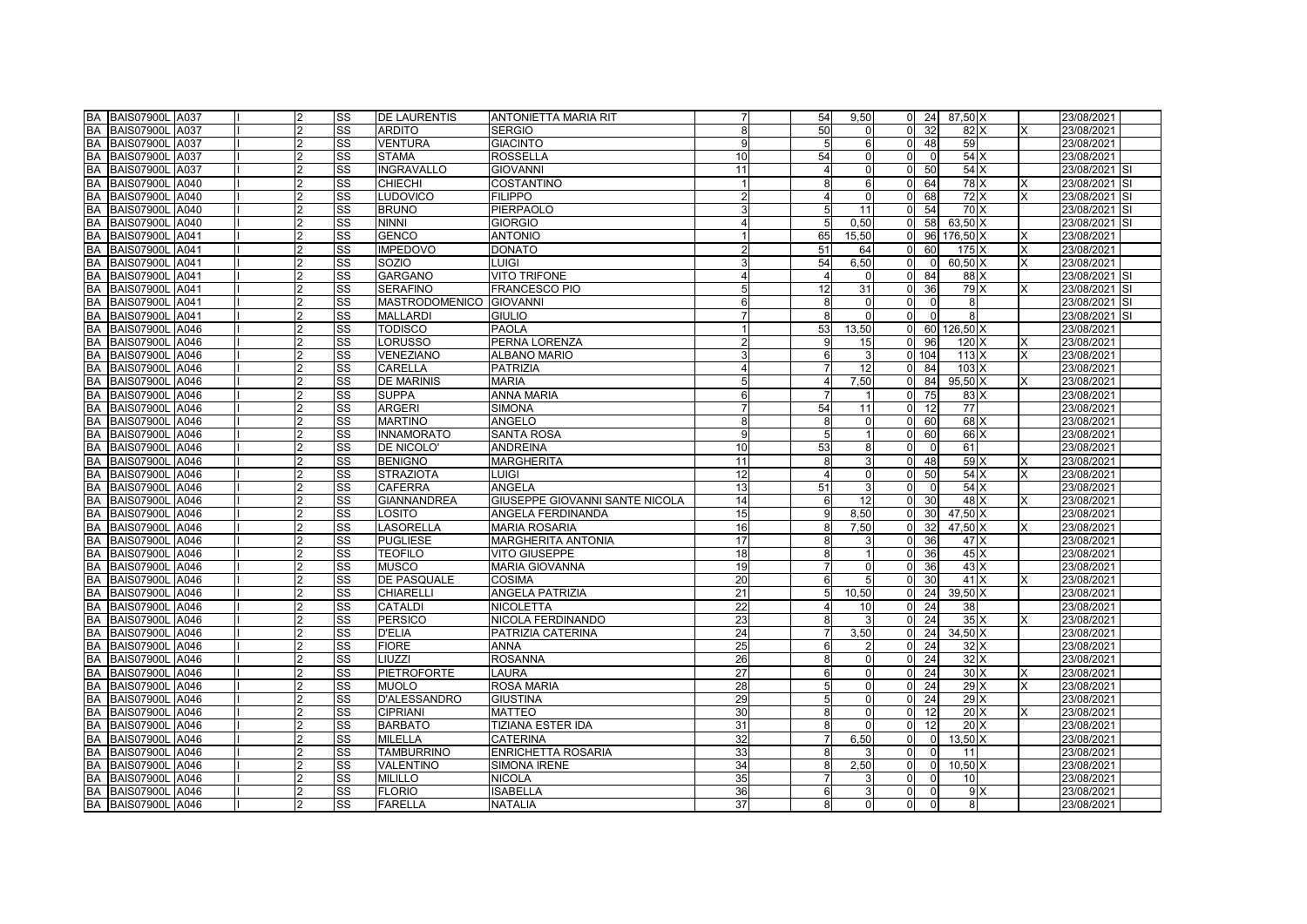| <b>BA BAIS07900L A037</b>           | 2              | SS                     | <b>DE LAURENTIS</b>     | ANTONIETTA MARIA RIT           |    | 54             | 9,50            | $0\quad 24$                       | 87,50 X          |          | 23/08/2021    |
|-------------------------------------|----------------|------------------------|-------------------------|--------------------------------|----|----------------|-----------------|-----------------------------------|------------------|----------|---------------|
| <b>BA BAIS07900L A037</b>           | 2              | SS                     | <b>ARDITO</b>           | <b>SERGIO</b>                  | 8  | 50             | $\Omega$        | $\Omega$<br>-32                   | 82 X             | ΙX       | 23/08/2021    |
| <b>BA BAIS07900L A037</b>           | $\overline{2}$ | SS                     | <b>VENTURA</b>          | <b>GIACINTO</b>                | 9  | 5              | 6               | $\overline{0}$<br>48              | 59               |          | 23/08/2021    |
| <b>BA BAIS07900L A037</b>           |                | SS                     | <b>STAMA</b>            | <b>ROSSELLA</b>                | 10 | 54             | $\Omega$        | $\Omega$<br>$\Omega$              | 54 X             |          | 23/08/2021    |
| <b>BA</b><br>BAIS07900L A037        | 2              | SS                     | <b>INGRAVALLO</b>       | <b>GIOVANNI</b>                | 11 | 4              | $\Omega$        | $\Omega$<br>50                    | 54X              |          | 23/08/2021 SI |
| <b>BA</b><br><b>BAIS07900L A040</b> | 2              | SS                     | <b>CHIECHI</b>          | <b>COSTANTINO</b>              |    | 8              | 6               | 64<br>$\Omega$                    | 78 X             | <b>X</b> | 23/08/2021 SI |
| <b>BA</b><br><b>BAIS07900L A040</b> | 2              | $\overline{\text{ss}}$ | <b>LUDOVICO</b>         | <b>FILIPPO</b>                 |    | 4              | $\overline{0}$  | 68<br>$\Omega$                    | 72X              | <b>X</b> | 23/08/2021 SI |
| <b>BA BAIS07900L A040</b>           | 2              | SS                     | <b>BRUNO</b>            | PIERPAOLO                      |    | 5              | 11              | 54<br>$\Omega$                    | 70 X             |          | 23/08/2021 SI |
| <b>BA BAIS07900L A040</b>           | 2              | SS                     | <b>NINNI</b>            | <b>GIORGIO</b>                 |    | 5              | 0,50            | $\overline{0}$<br>58              | $63,50 \times$   |          | 23/08/2021 SI |
| <b>BA</b><br>BAIS07900L A041        |                | SS                     | <b>GENCO</b>            | <b>ANTONIO</b>                 |    | 65             | 15,50           | $\Omega$                          | 96 176,50 X      | <b>X</b> | 23/08/2021    |
| <b>BA</b><br>BAIS07900L A041        |                | SS                     | <b>IMPEDOVO</b>         | <b>DONATO</b>                  |    | 51             | 64              | 60<br>$\Omega$                    | 175 X            | <b>X</b> | 23/08/2021    |
| <b>BA</b><br>BAIS07900L A041        | っ              | SS                     | SOZIO                   | <b>LUIGI</b>                   |    | 54             | 6.50            | $\Omega$<br>$\Omega$              | 60,50 X          | ΙX       | 23/08/2021    |
| <b>BA BAIS07900L A041</b>           | 2              | $\overline{\text{ss}}$ | <b>GARGANO</b>          | <b>VITO TRIFONE</b>            |    | $\overline{4}$ | $\Omega$        | 84<br>$\Omega$                    | 88 X             |          | 23/08/2021 SI |
| <b>BA BAIS07900L A041</b>           | 2              | SS                     | <b>SERAFINO</b>         | <b>FRANCESCO PIO</b>           |    | 12             | 31              | $\overline{0}$<br>36 <sup>l</sup> | 79 X             | ΙX       | 23/08/2021 SI |
| <b>BA</b><br><b>BAIS07900L A041</b> |                | SS                     | MASTRODOMENICO GIOVANNI |                                |    | 8              | $\overline{0}$  | $\Omega$<br>$\Omega$              | 8                |          | 23/08/2021 SI |
| <b>BA BAIS07900L A041</b>           |                | SS                     | <b>MALLARDI</b>         | <b>GIULIO</b>                  |    | 8              | $\Omega$        | ΩI<br>$\Omega$                    | 8                |          | 23/08/2021 SI |
| <b>BA</b><br><b>BAIS07900L A046</b> | っ              | SS                     | <b>TODISCO</b>          | <b>PAOLA</b>                   |    | 53             | 13,50           | $\overline{0}$                    | 60 126,50 X      |          | 23/08/2021    |
| <b>BA</b><br><b>BAIS07900L A046</b> | 2              | SS                     | <b>LORUSSO</b>          | PERNA LORENZA                  |    | 9              | 15              | $\Omega$<br>96                    | 120 X            | X        | 23/08/2021    |
| <b>BA BAIS07900L A046</b>           | 2              | SS                     | <b>VENEZIANO</b>        | <b>ALBANO MARIO</b>            |    | 6              | 3               | 0.104                             | 113X             | <b>X</b> | 23/08/2021    |
| <b>BA</b><br><b>BAIS07900L A046</b> | 2              | SS                     | <b>CARELLA</b>          | <b>PATRIZIA</b>                |    | $\overline{7}$ | 12              | 84<br>$\Omega$                    | $103 \mathrm{X}$ |          | 23/08/2021    |
| <b>BA</b><br>BAIS07900L A046        |                | SS                     | <b>DE MARINIS</b>       | <b>MARIA</b>                   |    | $\overline{4}$ | 7,50            | 84<br>$\overline{0}$              | $95,50$ X        | X        | 23/08/2021    |
| <b>BA</b><br><b>BAIS07900L A046</b> |                | $\overline{\text{ss}}$ | <b>SUPPA</b>            | ANNA MARIA                     |    |                | $\mathbf{1}$    | $\Omega$<br>75                    | $83 \times$      |          | 23/08/2021    |
| <b>BA</b><br><b>BAIS07900L A046</b> | 2              | SS                     | <b>ARGERI</b>           | <b>SIMONA</b>                  |    | 54             | 11              | 12<br>$\Omega$                    | 77               |          | 23/08/2021    |
| <b>BA BAIS07900L A046</b>           | 2              | SS                     | <b>MARTINO</b>          | ANGELO                         | 8  | 8              | $\mathbf 0$     | 60<br>$\Omega$                    | 68X              |          | 23/08/2021    |
| <b>BA BAIS07900L A046</b>           | 2              | SS                     | <b>INNAMORATO</b>       | <b>SANTA ROSA</b>              |    | 5              |                 | 60<br>$\Omega$                    | 66 X             |          | 23/08/2021    |
| <b>BA BAIS07900L A046</b>           | 2              | SS                     | DE NICOLO'              | <b>ANDREINA</b>                | 10 | 53             | 8               | $\Omega$<br>$\Omega$              | 61               |          | 23/08/2021    |
| <b>BA BAIS07900L A046</b>           |                | SS                     | <b>BENIGNO</b>          | <b>MARGHERITA</b>              | 11 | 8              | $\overline{3}$  | 48<br>ΩI                          | 59X              | X        | 23/08/2021    |
| BA<br><b>BAIS07900L A046</b>        | 2              | SS                     | <b>STRAZIOTA</b>        | <b>LUIGI</b>                   | 12 | $\overline{4}$ | $\Omega$        | 50<br>$\Omega$                    | 54 X             | X        | 23/08/2021    |
| <b>BA</b><br><b>BAIS07900L A046</b> | 2              | SS                     | <b>CAFERRA</b>          | <b>ANGELA</b>                  | 13 | 51             | 3               | $\overline{0}$<br>$\Omega$        | 54 X             |          | 23/08/2021    |
| <b>BA BAIS07900L A046</b>           | 2              | SS                     | <b>GIANNANDREA</b>      | GIUSEPPE GIOVANNI SANTE NICOLA | 14 | 6              | 12              | 30<br>$\Omega$                    | 48 X             | <b>X</b> | 23/08/2021    |
| BA BAIS07900L A046                  | 2              | SS                     | LOSITO                  | ANGELA FERDINANDA              | 15 | 9              | 8,50            | 30 <sup>°</sup><br>$\Omega$       | $47,50$ X        |          | 23/08/2021    |
| <b>BA</b><br><b>BAIS07900L A046</b> |                | SS                     | <b>LASORELLA</b>        | <b>MARIA ROSARIA</b>           | 16 | 8              | 7,50            | 32<br>$\Omega$                    | 47,50 X          | <b>X</b> | 23/08/2021    |
| <b>BA</b><br>BAIS07900L A046        |                | SS                     | <b>PUGLIESE</b>         | MARGHERITA ANTONIA             | 17 | 8              | 3               | 36<br>$\Omega$                    | 47 X             |          | 23/08/2021    |
| <b>BA</b><br><b>BAIS07900L A046</b> |                | SS                     | <b>TEOFILO</b>          | <b>VITO GIUSEPPE</b>           | 18 | 8              |                 | $\Omega$<br>36                    | 45 X             |          | 23/08/2021    |
| <b>BA</b><br><b>BAIS07900L A046</b> | 2              | SS                     | <b>MUSCO</b>            | <b>MARIA GIOVANNA</b>          | 19 | $\overline{7}$ | $\Omega$        | 36<br>$\Omega$                    | 43 X             |          | 23/08/2021    |
| <b>BA BAIS07900L A046</b>           | 2              | SS                     | DE PASQUALE             | <b>COSIMA</b>                  | 20 | 6              | 5               | $\Omega$<br>30 <sup>l</sup>       | 41X              | <b>X</b> | 23/08/2021    |
| <b>BA BAIS07900L A046</b>           | 2              | SS                     | <b>CHIARELLI</b>        | <b>ANGELA PATRIZIA</b>         | 21 | 5              | 10.50           | 24<br>$\Omega$                    | 39,50 X          |          | 23/08/2021    |
| <b>BA</b><br><b>BAIS07900L A046</b> |                | SS                     | <b>CATALDI</b>          | <b>NICOLETTA</b>               | 22 | 4              | 10 <sup>1</sup> | 24<br>$\Omega$                    | 38               |          | 23/08/2021    |
| <b>BA</b><br>BAIS07900L A046        | 2              | $\overline{\text{ss}}$ | <b>PERSICO</b>          | NICOLA FERDINANDO              | 23 | 8              | 3               | $\Omega$<br>24                    | 35X              | X        | 23/08/2021    |
| <b>BA</b><br>BAIS07900L A046        | 2              | SS                     | <b>D'ELIA</b>           | PATRIZIA CATERINA              | 24 | $\overline{7}$ | 3,50            | $\overline{0}$<br>24              | 34,50 X          |          | 23/08/2021    |
| <b>BA</b><br><b>BAIS07900L A046</b> | 2              | SS                     | <b>FIORE</b>            | ANNA                           | 25 | 6              | $\overline{2}$  | 24<br>$\Omega$                    | 32X              |          | 23/08/2021    |
| <b>BA BAIS07900L A046</b>           | 2              | SS                     | LIUZZI                  | <b>ROSANNA</b>                 | 26 | 8              | $\Omega$        | 24<br>$\Omega$                    | 32X              |          | 23/08/2021    |
| <b>BA BAIS07900L A046</b>           | 2              | SS                     | <b>PIETROFORTE</b>      | LAURA                          | 27 | 6              | $\mathbf 0$     | $\overline{0}$<br>24              | 30X              | IX.      | 23/08/2021    |
| <b>BA</b><br><b>BAIS07900L A046</b> |                | SS                     | <b>MUOLO</b>            | ROSA MARIA                     | 28 | 5              | $\Omega$        | 24<br>$\Omega$                    | 29X              | <b>X</b> | 23/08/2021    |
| <b>BA</b><br>BAIS07900L A046        |                | SS                     | <b>D'ALESSANDRO</b>     | <b>GIUSTINA</b>                | 29 | 5              | $\Omega$        | 24<br>$\Omega$                    | 29X              |          | 23/08/2021    |
| <b>BA</b><br><b>BAIS07900L A046</b> | っ              | SS                     | <b>CIPRIANI</b>         | <b>MATTEO</b>                  | 30 | 8              | $\Omega$        | $\Omega$<br>12                    | 20X              | <b>X</b> | 23/08/2021    |
| <b>BA BAIS07900L A046</b>           | 2              | $\overline{\text{ss}}$ | <b>BARBATO</b>          | <b>TIZIANA ESTER IDA</b>       | 31 | 8              | $\Omega$        | 12<br>$\Omega$                    | 20X              |          | 23/08/2021    |
| <b>BA BAIS07900L A046</b>           | $\overline{2}$ | SS                     | <b>MILELLA</b>          | <b>CATERINA</b>                | 32 | 7              | 6,50            | $\overline{0}$<br>$\overline{0}$  | 13,50 X          |          | 23/08/2021    |
| <b>BA</b><br>BAIS07900L A046        |                | SS                     | <b>TAMBURRINO</b>       | ENRICHETTA ROSARIA             | 33 | 8              | 3               | $\Omega$<br>U                     | 11               |          | 23/08/2021    |
| <b>BA BAIS07900L A046</b>           |                | SS                     | <b>VALENTINO</b>        | SIMONA IRENE                   | 34 | 8              | 2,50            | $\Omega$<br>$\Omega$              | 10,50 X          |          | 23/08/2021    |
| <b>BA</b><br><b>BAIS07900L A046</b> | 2              | SS                     | <b>MILILLO</b>          | <b>NICOLA</b>                  | 35 |                | 3               | $\Omega$<br>$\Omega$              | 10               |          | 23/08/2021    |
| <b>BA</b><br><b>BAIS07900L A046</b> | 2              | SS                     | <b>FLORIO</b>           | <b>ISABELLA</b>                | 36 | 6              | 3               | $\Omega$<br>$\Omega$              | 9X               |          | 23/08/2021    |
| BA BAIS07900L A046                  | $\overline{2}$ | SS                     | <b>FARELLA</b>          | <b>NATALIA</b>                 | 37 | 8 <sup>1</sup> | $\Omega$        | $\overline{0}$<br>$\Omega$        | 8                |          | 23/08/2021    |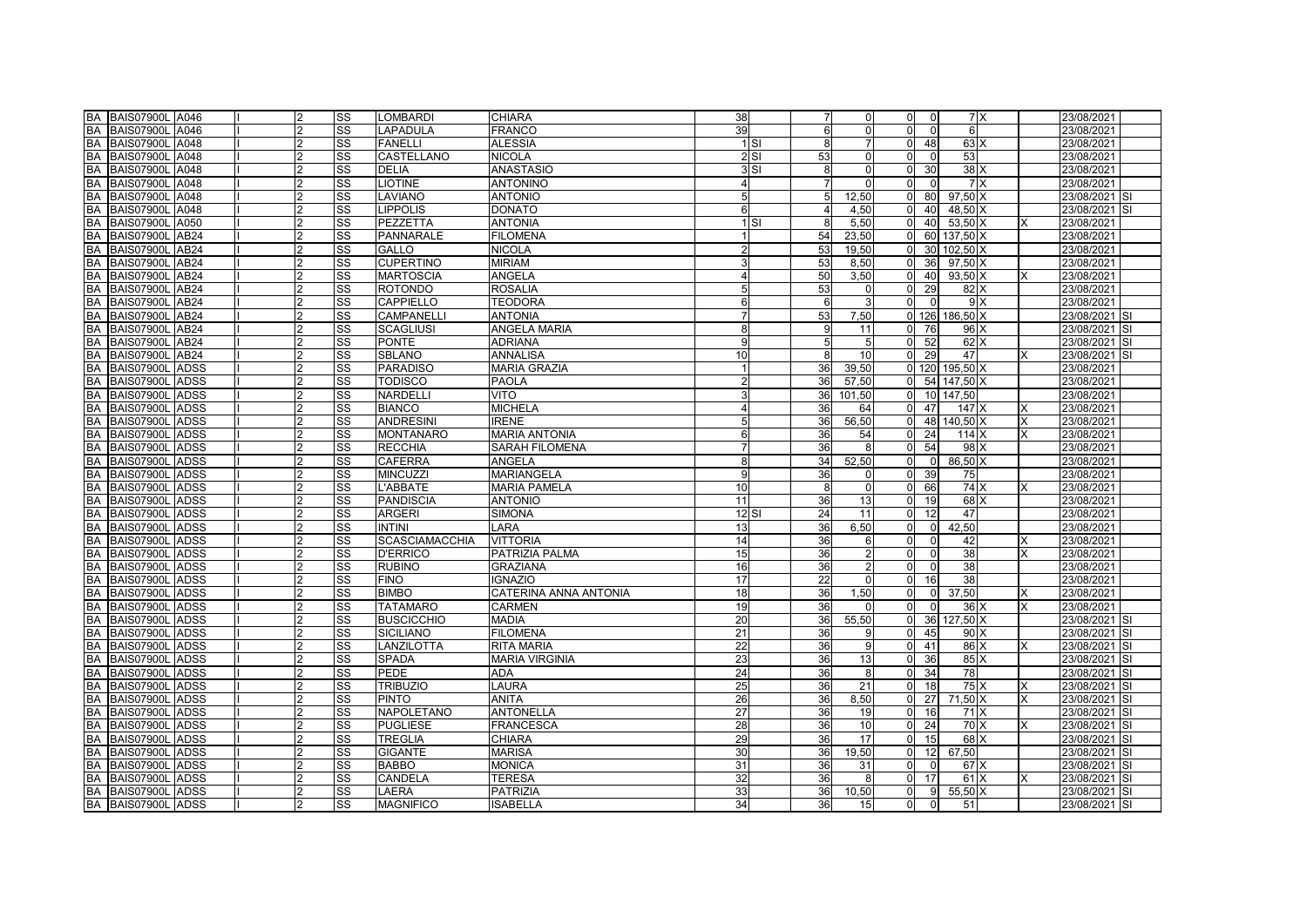| <b>BA BAIS07900L A046</b>           | 2              | SS                     | <b>LOMBARDI</b>       | <b>CHIARA</b>         | 38      | $\overline{7}$ | $\mathbf 0$     | $\overline{0}$<br>$\overline{0}$ | 7 X            |          | 23/08/2021    |
|-------------------------------------|----------------|------------------------|-----------------------|-----------------------|---------|----------------|-----------------|----------------------------------|----------------|----------|---------------|
| <b>BA BAIS07900L A046</b>           | 2              | SS                     | <b>LAPADULA</b>       | <b>FRANCO</b>         | 39      | 6              | $\Omega$        | $\Omega$<br>$\Omega$             | 6              |          | 23/08/2021    |
| <b>BA BAIS07900L A048</b>           | $\overline{2}$ | SS                     | <b>FANELLI</b>        | <b>ALESSIA</b>        | 1 S1    | 8              | $\overline{7}$  | $\overline{0}$<br>48             | 63 X           |          | 23/08/2021    |
| <b>BA BAIS07900L A048</b>           |                | SS                     | CASTELLANO            | <b>NICOLA</b>         | 2S1     | 53             | $\Omega$        | $\Omega$<br>$\Omega$             | 53             |          | 23/08/2021    |
| <b>BA</b><br>BAIS07900L A048        | $\mathfrak{p}$ | $\overline{\text{ss}}$ | <b>DELIA</b>          | <b>ANASTASIO</b>      | 3S1     | 8              | $\mathbf 0$     | $\Omega$<br>30 <sup>l</sup>      | 38X            |          | 23/08/2021    |
| <b>BA</b><br><b>BAIS07900L A048</b> | 2              | SS                     | <b>LIOTINE</b>        | <b>ANTONINO</b>       |         | $\overline{7}$ | $\Omega$        | $\Omega$<br>$\Omega$             | 7X             |          | 23/08/2021    |
| <b>BA</b><br><b>BAIS07900L A048</b> | 2              | $\overline{\text{ss}}$ | <b>LAVIANO</b>        | <b>ANTONIO</b>        |         | 5              | 12,50           | $\overline{0}$<br>80             | $97,50 \times$ |          | 23/08/2021 SI |
| BA BAIS07900L A048                  | 2              | SS                     | <b>LIPPOLIS</b>       | DONATO                | 6       | 4              | 4,50            | 40<br>$\Omega$                   | 48,50 X        |          | 23/08/2021 SI |
| <b>BA BAIS07900L A050</b>           | 2              | SS                     | PEZZETTA              | <b>ANTONIA</b>        | $1$ SI  | 8              | 5,50            | $\overline{0}$<br>40             | 53,50 X        | IX.      | 23/08/2021    |
| <b>BA</b><br><b>BAIS07900L AB24</b> |                | SS                     | <b>PANNARALE</b>      | <b>FILOMENA</b>       |         | 54             | 23,50           |                                  | 60 137,50 X    |          | 23/08/2021    |
| <b>BA</b><br><b>BAIS07900L AB24</b> |                | SS                     | <b>GALLO</b>          | <b>NICOLA</b>         |         | 53             | 19,50           | $\Omega$                         | 30 102,50 X    |          | 23/08/2021    |
| <b>BA</b><br><b>BAIS07900L AB24</b> | 2              | SS                     | <b>CUPERTINO</b>      | <b>MIRIAM</b>         |         | 53             | 8.50            | $\Omega$<br>36 <sup>l</sup>      | 97,50 X        |          | 23/08/2021    |
| BA BAIS07900L AB24                  | 2              | SS                     | <b>MARTOSCIA</b>      | ANGELA                |         | 50             | 3,50            | $\Omega$<br>40                   | 93,50 X        | IX.      | 23/08/2021    |
| BA BAIS07900L AB24                  | 2              | SS                     | <b>ROTONDO</b>        | <b>ROSALIA</b>        |         | 53             | $\mathbf{0}$    | $\overline{0}$<br>29             | 82 X           |          | 23/08/2021    |
| <b>BA</b><br><b>BAIS07900L AB24</b> |                | SS                     | CAPPIELLO             | <b>TEODORA</b>        |         | 6              | $\overline{3}$  | $\Omega$<br>$\Omega$             | 9 X            |          | 23/08/2021    |
| BA BAIS07900L AB24                  |                | SS                     | CAMPANELLI            | <b>ANTONIA</b>        |         | 53             | 7,50            |                                  | 0 126 186,50 X |          | 23/08/2021 SI |
| <b>BA</b><br><b>BAIS07900L AB24</b> | っ              | SS                     | <b>SCAGLIUSI</b>      | ANGELA MARIA          | 8       | 9              | 11              | 0 76                             | 96 X           |          | 23/08/2021 SI |
| <b>BA</b><br>BAIS07900L AB24        | 2              | SS                     | <b>PONTE</b>          | <b>ADRIANA</b>        | q       | 5              | 5               | 52<br>$\Omega$                   | 62 X           |          | 23/08/2021 SI |
| BA BAIS07900L AB24                  | 2              | SS                     | <b>SBLANO</b>         | <b>ANNALISA</b>       | 10      | 8              | 10 <sup>1</sup> | $\Omega$<br>29                   | 47             | <b>X</b> | 23/08/2021 SI |
| <b>BA</b><br>BAIS07900L ADSS        | 2              | SS                     | <b>PARADISO</b>       | <b>MARIA GRAZIA</b>   |         | 36             | 39,50           |                                  | 0 120 195,50 X |          | 23/08/2021    |
| <b>BA</b><br>BAIS07900L ADSS        |                | SS                     | <b>TODISCO</b>        | PAOLA                 |         | 36             | 57,50           | $\overline{0}$                   | 54 147,50 X    |          | 23/08/2021    |
| <b>BA</b><br>BAIS07900L ADSS        | っ              | $\overline{\text{ss}}$ | NARDELLI              | VITO                  |         | 36             | 101,50          | $\Omega$                         | 10 147,50      |          | 23/08/2021    |
| <b>BA</b><br>BAIS07900L ADSS        | 2              | SS                     | <b>BIANCO</b>         | <b>MICHELA</b>        |         | 36             | 64              | $\Omega$<br>47                   | 147 X          | ΙX       | 23/08/2021    |
| <b>BA</b><br>BAIS07900L ADSS        | 2              | SS                     | <b>ANDRESINI</b>      | <b>IRENE</b>          |         | 36             | 56,50           | $\overline{0}$                   | 48 140,50 X    | X        | 23/08/2021    |
| BA BAIS07900L ADSS                  | 2              | SS                     | <b>MONTANARO</b>      | <b>MARIA ANTONIA</b>  |         | 36             | 54              | $\Omega$<br>24                   | 114X           | IX.      | 23/08/2021    |
| <b>BA</b><br>BAIS07900L ADSS        | 2              | SS                     | <b>RECCHIA</b>        | <b>SARAH FILOMENA</b> |         | 36             | 8               | $\Omega$<br>54                   | 98 X           |          | 23/08/2021    |
| BA BAIS07900L ADSS                  |                | SS                     | <b>CAFERRA</b>        | ANGELA                |         | 34             | 52,50           | $\mathsf{O}$<br>$\Omega$         | 86,50 X        |          | 23/08/2021    |
| BA<br>BAIS07900L ADSS               | 2              | SS                     | <b>MINCUZZI</b>       | <b>MARIANGELA</b>     |         | 36             | $\mathbf{0}$    | $\Omega$<br>39                   | 75             |          | 23/08/2021    |
| <b>BA</b><br>BAIS07900L ADSS        | 2              | SS                     | L'ABBATE              | <b>MARIA PAMELA</b>   | 10      | 8              | $\overline{0}$  | $\overline{0}$<br>66             | 74 X           | <b>X</b> | 23/08/2021    |
| BA BAIS07900L ADSS                  | 2              | SS                     | <b>PANDISCIA</b>      | <b>ANTONIO</b>        | 11      | 36             | 13              | 19<br>$\Omega$                   | 68 X           |          | 23/08/2021    |
| BA BAIS07900L ADSS                  | 2              | SS                     | <b>ARGERI</b>         | <b>SIMONA</b>         | $12$ SI | 24             | 11              | $\Omega$<br>12                   | 47             |          | 23/08/2021    |
| <b>BA</b><br>BAIS07900L ADSS        |                | SS                     | <b>INTINI</b>         | LARA                  | 13      | 36             | 6,50            | $\overline{0}$<br>$\Omega$       | 42,50          |          | 23/08/2021    |
| <b>BA</b><br>BAIS07900L ADSS        |                | SS                     | <b>SCASCIAMACCHIA</b> | <b>VITTORIA</b>       | 14      | 36             | 6               | $\Omega$<br>$\Omega$             | 42             | ΙX       | 23/08/2021    |
| <b>BA</b><br>BAIS07900L ADSS        | っ              | SS                     | <b>D'ERRICO</b>       | PATRIZIA PALMA        | 15      | 36             | $\overline{2}$  | $\overline{0}$<br>οI             | 38             |          | 23/08/2021    |
| <b>BA</b><br>BAIS07900L ADSS        | 2              | SS                     | <b>RUBINO</b>         | GRAZIANA              | 16      | 36             | $\overline{2}$  | $\Omega$<br>$\Omega$             | 38             |          | 23/08/2021    |
| BA BAIS07900L ADSS                  | 2              | SS                     | <b>FINO</b>           | <b>IGNAZIO</b>        | 17      | 22             | $\mathbf 0$     | $\Omega$<br>16                   | 38             |          | 23/08/2021    |
| BA BAIS07900L ADSS                  | $\overline{2}$ | SS                     | <b>BIMBO</b>          | CATERINA ANNA ANTONIA | 18      | 36             | 1,50            | $\Omega$<br>$\Omega$             | 37,50          | <b>X</b> | 23/08/2021    |
| <b>BA</b><br>BAIS07900L ADSS        |                | SS                     | <b>TATAMARO</b>       | CARMEN                | 19      | 36             | $\Omega$        | $\Omega$<br>$\Omega$             | 36 X           | <b>X</b> | 23/08/2021    |
| <b>BA</b><br>BAIS07900L ADSS        | 2              | $\overline{\text{ss}}$ | <b>BUSCICCHIO</b>     | <b>MADIA</b>          | 20      | 36             | 55,50           | $\Omega$                         | 36 127,50 X    |          | 23/08/2021 SI |
| <b>BA</b><br>BAIS07900L ADSS        | 2              | SS                     | <b>SICILIANO</b>      | <b>FILOMENA</b>       | 21      | 36             | 9               | $\overline{0}$<br>45             | 90 X           |          | 23/08/2021 SI |
| <b>BA</b><br>BAIS07900L ADSS        | 2              | SS                     | LANZILOTTA            | <b>RITA MARIA</b>     | 22      | 36             | 9               | $\Omega$<br>41                   | 86 X           | <b>X</b> | 23/08/2021 SI |
| BA BAIS07900L ADSS                  | 2              | SS                     | <b>SPADA</b>          | <b>MARIA VIRGINIA</b> | 23      | 36             | 13              | $\Omega$<br>36                   | 85 X           |          | 23/08/2021 SI |
| BA BAIS07900L ADSS                  | 2              | SS                     | PEDE                  | ADA                   | 24      | 36             | 8               | $\overline{0}$<br>34             | 78             |          | 23/08/2021 SI |
| <b>BA</b><br>BAIS07900L ADSS        |                | SS                     | <b>TRIBUZIO</b>       | LAURA                 | 25      | 36             | 21              | 18<br>$\Omega$                   | 75X            | <b>X</b> | 23/08/2021 SI |
| <b>BA</b><br>BAIS07900L ADSS        |                | SS                     | <b>PINTO</b>          | <b>ANITA</b>          | 26      | 36             | 8,50            | 27<br>$\Omega$                   | 71,50 X        | <b>X</b> | 23/08/2021 SI |
| <b>BA</b><br>BAIS07900L ADSS        | っ              | SS                     | <b>NAPOLETANO</b>     | <b>ANTONELLA</b>      | 27      | 36             | 19              | $\Omega$<br>16                   | 71X            |          | 23/08/2021 SI |
| BA BAIS07900L ADSS                  | 2              | $\overline{\text{ss}}$ | <b>PUGLIESE</b>       | <b>FRANCESCA</b>      | 28      | 36             | 10              | 24<br>$\Omega$                   | 70 X           | X        | 23/08/2021 SI |
| BA BAIS07900L ADSS                  | 2              | SS                     | <b>TREGLIA</b>        | <b>CHIARA</b>         | 29      | 36             | 17              | $\overline{0}$<br>15             | 68 X           |          | 23/08/2021 SI |
| <b>BA</b><br>BAIS07900L ADSS        |                | SS                     | <b>GIGANTE</b>        | <b>MARISA</b>         | 30      | 36             | 19,50           | $\Omega$<br>12 <sup>1</sup>      | 67,50          |          | 23/08/2021 SI |
| BA BAIS07900L ADSS                  |                | SS                     | <b>BABBO</b>          | <b>MONICA</b>         | 31      | 36             | 31              | $\Omega$<br>$\Omega$             | 67 X           |          | 23/08/2021 SI |
| <b>BA</b><br>BAIS07900L ADSS        | 2              | SS                     | CANDELA               | <b>TERESA</b>         | 32      | 36             | 8               | $\mathsf{O}$<br>17               | 61X            |          | 23/08/2021 SI |
| BA BAIS07900L ADSS                  | 2              | SS                     | LAERA                 | <b>PATRIZIA</b>       | 33      | 36             | 10,50           | $\Omega$<br>9                    | 55,50 X        |          | 23/08/2021 SI |
| BA BAIS07900L ADSS                  | $\overline{2}$ | SS                     | <b>MAGNIFICO</b>      | <b>ISABELLA</b>       | 34      | 36             | 15              | $\Omega$<br>$\Omega$             | 51             |          | 23/08/2021 SI |